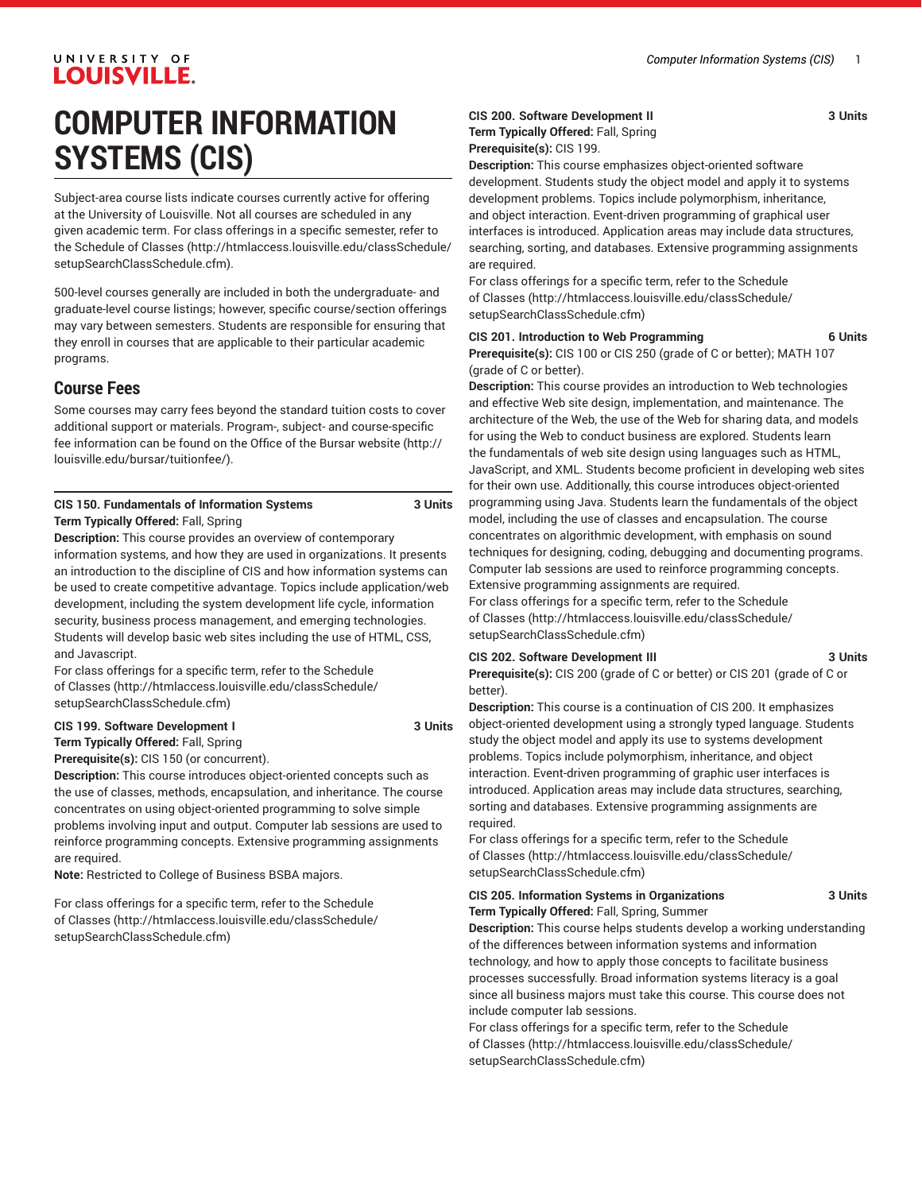# **COMPUTER INFORMATION SYSTEMS (CIS)**

Subject-area course lists indicate courses currently active for offering at the University of Louisville. Not all courses are scheduled in any given academic term. For class offerings in a specific semester, refer to the [Schedule of Classes](http://htmlaccess.louisville.edu/classSchedule/setupSearchClassSchedule.cfm) ([http://htmlaccess.louisville.edu/classSchedule/](http://htmlaccess.louisville.edu/classSchedule/setupSearchClassSchedule.cfm) [setupSearchClassSchedule.cfm\)](http://htmlaccess.louisville.edu/classSchedule/setupSearchClassSchedule.cfm).

500-level courses generally are included in both the undergraduate- and graduate-level course listings; however, specific course/section offerings may vary between semesters. Students are responsible for ensuring that they enroll in courses that are applicable to their particular academic programs.

# **Course Fees**

Some courses may carry fees beyond the standard tuition costs to cover additional support or materials. Program-, subject- and course-specific fee information can be found on the [Office of the Bursar website](http://louisville.edu/bursar/tuitionfee/) ([http://](http://louisville.edu/bursar/tuitionfee/) [louisville.edu/bursar/tuitionfee/](http://louisville.edu/bursar/tuitionfee/)).

#### **CIS 150. Fundamentals of Information Systems 3 Units Term Typically Offered:** Fall, Spring

**Description:** This course provides an overview of contemporary information systems, and how they are used in organizations. It presents an introduction to the discipline of CIS and how information systems can be used to create competitive advantage. Topics include application/web development, including the system development life cycle, information security, business process management, and emerging technologies. Students will develop basic web sites including the use of HTML, CSS, and Javascript.

For class offerings for a specific term, refer to the [Schedule](http://htmlaccess.louisville.edu/classSchedule/setupSearchClassSchedule.cfm) [of Classes \(http://htmlaccess.louisville.edu/classSchedule/](http://htmlaccess.louisville.edu/classSchedule/setupSearchClassSchedule.cfm) [setupSearchClassSchedule.cfm\)](http://htmlaccess.louisville.edu/classSchedule/setupSearchClassSchedule.cfm)

#### **CIS 199. Software Development I 3 Units**

**Term Typically Offered:** Fall, Spring

**Prerequisite(s):** CIS 150 (or concurrent). **Description:** This course introduces object-oriented concepts such as

the use of classes, methods, encapsulation, and inheritance. The course concentrates on using object-oriented programming to solve simple problems involving input and output. Computer lab sessions are used to reinforce programming concepts. Extensive programming assignments are required.

**Note:** Restricted to College of Business BSBA majors.

For class offerings for a specific term, refer to the [Schedule](http://htmlaccess.louisville.edu/classSchedule/setupSearchClassSchedule.cfm) [of Classes \(http://htmlaccess.louisville.edu/classSchedule/](http://htmlaccess.louisville.edu/classSchedule/setupSearchClassSchedule.cfm) [setupSearchClassSchedule.cfm\)](http://htmlaccess.louisville.edu/classSchedule/setupSearchClassSchedule.cfm)

#### **CIS 200. Software Development II 3 Units Term Typically Offered:** Fall, Spring

**Prerequisite(s):** CIS 199.

**Description:** This course emphasizes object-oriented software development. Students study the object model and apply it to systems development problems. Topics include polymorphism, inheritance, and object interaction. Event-driven programming of graphical user interfaces is introduced. Application areas may include data structures, searching, sorting, and databases. Extensive programming assignments are required.

For class offerings for a specific term, refer to the [Schedule](http://htmlaccess.louisville.edu/classSchedule/setupSearchClassSchedule.cfm) [of Classes](http://htmlaccess.louisville.edu/classSchedule/setupSearchClassSchedule.cfm) ([http://htmlaccess.louisville.edu/classSchedule/](http://htmlaccess.louisville.edu/classSchedule/setupSearchClassSchedule.cfm) [setupSearchClassSchedule.cfm\)](http://htmlaccess.louisville.edu/classSchedule/setupSearchClassSchedule.cfm)

### **CIS 201. Introduction to Web Programming 6 Units**

**Prerequisite(s):** CIS 100 or CIS 250 (grade of C or better); MATH 107 (grade of C or better).

**Description:** This course provides an introduction to Web technologies and effective Web site design, implementation, and maintenance. The architecture of the Web, the use of the Web for sharing data, and models for using the Web to conduct business are explored. Students learn the fundamentals of web site design using languages such as HTML, JavaScript, and XML. Students become proficient in developing web sites for their own use. Additionally, this course introduces object-oriented programming using Java. Students learn the fundamentals of the object model, including the use of classes and encapsulation. The course concentrates on algorithmic development, with emphasis on sound techniques for designing, coding, debugging and documenting programs. Computer lab sessions are used to reinforce programming concepts. Extensive programming assignments are required.

For class offerings for a specific term, refer to the [Schedule](http://htmlaccess.louisville.edu/classSchedule/setupSearchClassSchedule.cfm) [of Classes](http://htmlaccess.louisville.edu/classSchedule/setupSearchClassSchedule.cfm) ([http://htmlaccess.louisville.edu/classSchedule/](http://htmlaccess.louisville.edu/classSchedule/setupSearchClassSchedule.cfm) [setupSearchClassSchedule.cfm\)](http://htmlaccess.louisville.edu/classSchedule/setupSearchClassSchedule.cfm)

#### **CIS 202. Software Development III 3 Units**

**Prerequisite(s):** CIS 200 (grade of C or better) or CIS 201 (grade of C or better).

**Description:** This course is a continuation of CIS 200. It emphasizes object-oriented development using a strongly typed language. Students study the object model and apply its use to systems development problems. Topics include polymorphism, inheritance, and object interaction. Event-driven programming of graphic user interfaces is introduced. Application areas may include data structures, searching, sorting and databases. Extensive programming assignments are required.

For class offerings for a specific term, refer to the [Schedule](http://htmlaccess.louisville.edu/classSchedule/setupSearchClassSchedule.cfm) [of Classes](http://htmlaccess.louisville.edu/classSchedule/setupSearchClassSchedule.cfm) ([http://htmlaccess.louisville.edu/classSchedule/](http://htmlaccess.louisville.edu/classSchedule/setupSearchClassSchedule.cfm) [setupSearchClassSchedule.cfm\)](http://htmlaccess.louisville.edu/classSchedule/setupSearchClassSchedule.cfm)

### **CIS 205. Information Systems in Organizations 3 Units Term Typically Offered:** Fall, Spring, Summer

**Description:** This course helps students develop a working understanding of the differences between information systems and information technology, and how to apply those concepts to facilitate business processes successfully. Broad information systems literacy is a goal since all business majors must take this course. This course does not include computer lab sessions.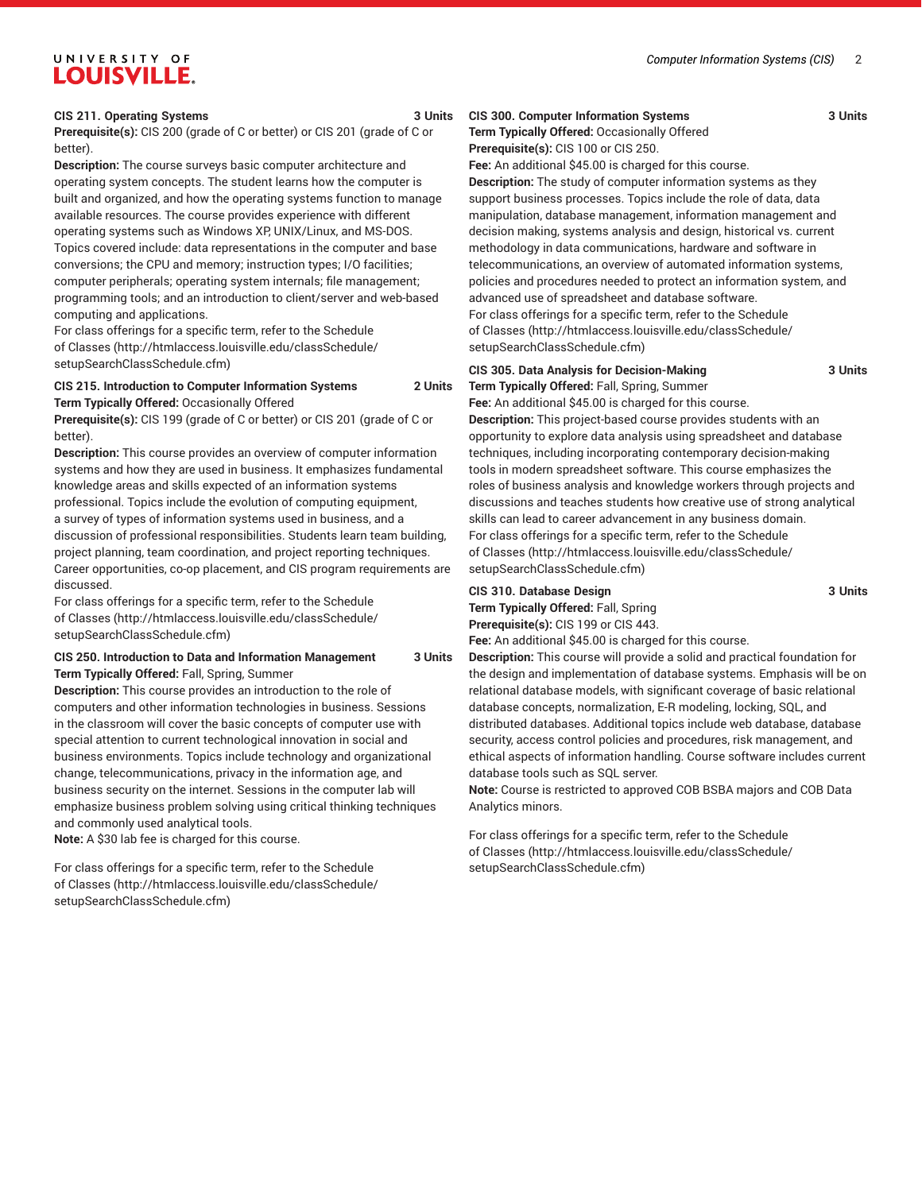#### **CIS 211. Operating Systems 3 Units**

**Prerequisite(s):** CIS 200 (grade of C or better) or CIS 201 (grade of C or better).

**Description:** The course surveys basic computer architecture and operating system concepts. The student learns how the computer is built and organized, and how the operating systems function to manage available resources. The course provides experience with different operating systems such as Windows XP, UNIX/Linux, and MS-DOS. Topics covered include: data representations in the computer and base conversions; the CPU and memory; instruction types; I/O facilities; computer peripherals; operating system internals; file management; programming tools; and an introduction to client/server and web-based computing and applications.

For class offerings for a specific term, refer to the [Schedule](http://htmlaccess.louisville.edu/classSchedule/setupSearchClassSchedule.cfm) [of Classes \(http://htmlaccess.louisville.edu/classSchedule/](http://htmlaccess.louisville.edu/classSchedule/setupSearchClassSchedule.cfm) [setupSearchClassSchedule.cfm\)](http://htmlaccess.louisville.edu/classSchedule/setupSearchClassSchedule.cfm)

#### **CIS 215. Introduction to Computer Information Systems 2 Units Term Typically Offered:** Occasionally Offered

**Prerequisite(s):** CIS 199 (grade of C or better) or CIS 201 (grade of C or better).

**Description:** This course provides an overview of computer information systems and how they are used in business. It emphasizes fundamental knowledge areas and skills expected of an information systems professional. Topics include the evolution of computing equipment, a survey of types of information systems used in business, and a discussion of professional responsibilities. Students learn team building, project planning, team coordination, and project reporting techniques. Career opportunities, co-op placement, and CIS program requirements are discussed.

For class offerings for a specific term, refer to the [Schedule](http://htmlaccess.louisville.edu/classSchedule/setupSearchClassSchedule.cfm) [of Classes \(http://htmlaccess.louisville.edu/classSchedule/](http://htmlaccess.louisville.edu/classSchedule/setupSearchClassSchedule.cfm) [setupSearchClassSchedule.cfm\)](http://htmlaccess.louisville.edu/classSchedule/setupSearchClassSchedule.cfm)

#### **CIS 250. Introduction to Data and Information Management 3 Units Term Typically Offered:** Fall, Spring, Summer

**Description:** This course provides an introduction to the role of computers and other information technologies in business. Sessions in the classroom will cover the basic concepts of computer use with special attention to current technological innovation in social and business environments. Topics include technology and organizational change, telecommunications, privacy in the information age, and business security on the internet. Sessions in the computer lab will emphasize business problem solving using critical thinking techniques and commonly used analytical tools.

**Note:** A \$30 lab fee is charged for this course.

For class offerings for a specific term, refer to the [Schedule](http://htmlaccess.louisville.edu/classSchedule/setupSearchClassSchedule.cfm) [of Classes \(http://htmlaccess.louisville.edu/classSchedule/](http://htmlaccess.louisville.edu/classSchedule/setupSearchClassSchedule.cfm) [setupSearchClassSchedule.cfm\)](http://htmlaccess.louisville.edu/classSchedule/setupSearchClassSchedule.cfm)

## **CIS 300. Computer Information Systems 3 Units Term Typically Offered:** Occasionally Offered

**Prerequisite(s):** CIS 100 or CIS 250.

**Fee:** An additional \$45.00 is charged for this course. **Description:** The study of computer information systems as they support business processes. Topics include the role of data, data manipulation, database management, information management and decision making, systems analysis and design, historical vs. current methodology in data communications, hardware and software in telecommunications, an overview of automated information systems, policies and procedures needed to protect an information system, and advanced use of spreadsheet and database software. For class offerings for a specific term, refer to the [Schedule](http://htmlaccess.louisville.edu/classSchedule/setupSearchClassSchedule.cfm) [of Classes](http://htmlaccess.louisville.edu/classSchedule/setupSearchClassSchedule.cfm) ([http://htmlaccess.louisville.edu/classSchedule/](http://htmlaccess.louisville.edu/classSchedule/setupSearchClassSchedule.cfm) [setupSearchClassSchedule.cfm\)](http://htmlaccess.louisville.edu/classSchedule/setupSearchClassSchedule.cfm)

### **CIS 305. Data Analysis for Decision-Making 3 Units Term Typically Offered:** Fall, Spring, Summer

**Fee:** An additional \$45.00 is charged for this course. **Description:** This project-based course provides students with an opportunity to explore data analysis using spreadsheet and database techniques, including incorporating contemporary decision-making tools in modern spreadsheet software. This course emphasizes the roles of business analysis and knowledge workers through projects and discussions and teaches students how creative use of strong analytical skills can lead to career advancement in any business domain. For class offerings for a specific term, refer to the [Schedule](http://htmlaccess.louisville.edu/classSchedule/setupSearchClassSchedule.cfm) [of Classes](http://htmlaccess.louisville.edu/classSchedule/setupSearchClassSchedule.cfm) ([http://htmlaccess.louisville.edu/classSchedule/](http://htmlaccess.louisville.edu/classSchedule/setupSearchClassSchedule.cfm) [setupSearchClassSchedule.cfm\)](http://htmlaccess.louisville.edu/classSchedule/setupSearchClassSchedule.cfm)

### **CIS 310. Database Design 3 Units**

**Term Typically Offered:** Fall, Spring **Prerequisite(s):** CIS 199 or CIS 443.

**Fee:** An additional \$45.00 is charged for this course.

**Description:** This course will provide a solid and practical foundation for the design and implementation of database systems. Emphasis will be on relational database models, with significant coverage of basic relational database concepts, normalization, E-R modeling, locking, SQL, and distributed databases. Additional topics include web database, database security, access control policies and procedures, risk management, and ethical aspects of information handling. Course software includes current database tools such as SQL server.

**Note:** Course is restricted to approved COB BSBA majors and COB Data Analytics minors.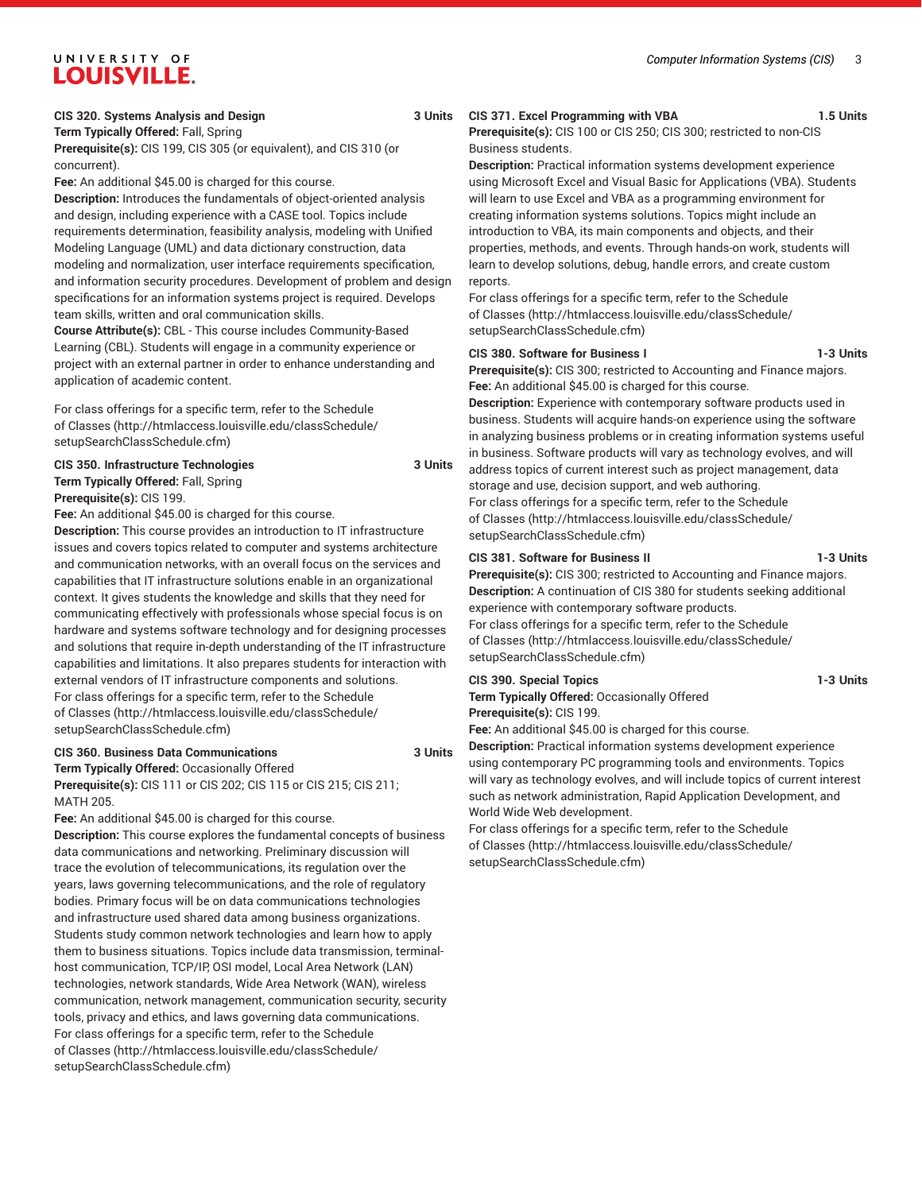#### **CIS 320. Systems Analysis and Design 3 Units**

**Term Typically Offered:** Fall, Spring

**Prerequisite(s):** CIS 199, CIS 305 (or equivalent), and CIS 310 (or concurrent).

**Fee:** An additional \$45.00 is charged for this course.

**Description:** Introduces the fundamentals of object-oriented analysis and design, including experience with a CASE tool. Topics include requirements determination, feasibility analysis, modeling with Unified Modeling Language (UML) and data dictionary construction, data modeling and normalization, user interface requirements specification, and information security procedures. Development of problem and design specifications for an information systems project is required. Develops team skills, written and oral communication skills.

**Course Attribute(s):** CBL - This course includes Community-Based Learning (CBL). Students will engage in a community experience or project with an external partner in order to enhance understanding and application of academic content.

For class offerings for a specific term, refer to the [Schedule](http://htmlaccess.louisville.edu/classSchedule/setupSearchClassSchedule.cfm) [of Classes \(http://htmlaccess.louisville.edu/classSchedule/](http://htmlaccess.louisville.edu/classSchedule/setupSearchClassSchedule.cfm) [setupSearchClassSchedule.cfm\)](http://htmlaccess.louisville.edu/classSchedule/setupSearchClassSchedule.cfm)

**CIS 350. Infrastructure Technologies 3 Units Term Typically Offered:** Fall, Spring **Prerequisite(s):** CIS 199.

**Fee:** An additional \$45.00 is charged for this course.

**Description:** This course provides an introduction to IT infrastructure issues and covers topics related to computer and systems architecture and communication networks, with an overall focus on the services and capabilities that IT infrastructure solutions enable in an organizational context. It gives students the knowledge and skills that they need for communicating effectively with professionals whose special focus is on hardware and systems software technology and for designing processes and solutions that require in-depth understanding of the IT infrastructure capabilities and limitations. It also prepares students for interaction with external vendors of IT infrastructure components and solutions. For class offerings for a specific term, refer to the [Schedule](http://htmlaccess.louisville.edu/classSchedule/setupSearchClassSchedule.cfm) [of Classes \(http://htmlaccess.louisville.edu/classSchedule/](http://htmlaccess.louisville.edu/classSchedule/setupSearchClassSchedule.cfm) [setupSearchClassSchedule.cfm\)](http://htmlaccess.louisville.edu/classSchedule/setupSearchClassSchedule.cfm)

#### **CIS 360. Business Data Communications 3 Units**

**Term Typically Offered:** Occasionally Offered **Prerequisite(s):** CIS 111 or CIS 202; CIS 115 or CIS 215; CIS 211;

MATH 205. **Fee:** An additional \$45.00 is charged for this course.

**Description:** This course explores the fundamental concepts of business data communications and networking. Preliminary discussion will trace the evolution of telecommunications, its regulation over the years, laws governing telecommunications, and the role of regulatory bodies. Primary focus will be on data communications technologies and infrastructure used shared data among business organizations. Students study common network technologies and learn how to apply them to business situations. Topics include data transmission, terminalhost communication, TCP/IP, OSI model, Local Area Network (LAN) technologies, network standards, Wide Area Network (WAN), wireless communication, network management, communication security, security tools, privacy and ethics, and laws governing data communications. For class offerings for a specific term, refer to the [Schedule](http://htmlaccess.louisville.edu/classSchedule/setupSearchClassSchedule.cfm) [of Classes \(http://htmlaccess.louisville.edu/classSchedule/](http://htmlaccess.louisville.edu/classSchedule/setupSearchClassSchedule.cfm) [setupSearchClassSchedule.cfm\)](http://htmlaccess.louisville.edu/classSchedule/setupSearchClassSchedule.cfm)

**CIS 371. Excel Programming with VBA 1.5 Units Prerequisite(s):** CIS 100 or CIS 250; CIS 300; restricted to non-CIS Business students.

**Description:** Practical information systems development experience using Microsoft Excel and Visual Basic for Applications (VBA). Students will learn to use Excel and VBA as a programming environment for creating information systems solutions. Topics might include an introduction to VBA, its main components and objects, and their properties, methods, and events. Through hands-on work, students will learn to develop solutions, debug, handle errors, and create custom reports.

For class offerings for a specific term, refer to the [Schedule](http://htmlaccess.louisville.edu/classSchedule/setupSearchClassSchedule.cfm) [of Classes](http://htmlaccess.louisville.edu/classSchedule/setupSearchClassSchedule.cfm) ([http://htmlaccess.louisville.edu/classSchedule/](http://htmlaccess.louisville.edu/classSchedule/setupSearchClassSchedule.cfm) [setupSearchClassSchedule.cfm\)](http://htmlaccess.louisville.edu/classSchedule/setupSearchClassSchedule.cfm)

#### **CIS 380. Software for Business I 1-3 Units**

**Prerequisite(s):** CIS 300; restricted to Accounting and Finance majors. **Fee:** An additional \$45.00 is charged for this course.

**Description:** Experience with contemporary software products used in business. Students will acquire hands-on experience using the software in analyzing business problems or in creating information systems useful in business. Software products will vary as technology evolves, and will address topics of current interest such as project management, data storage and use, decision support, and web authoring. For class offerings for a specific term, refer to the [Schedule](http://htmlaccess.louisville.edu/classSchedule/setupSearchClassSchedule.cfm)

[of Classes](http://htmlaccess.louisville.edu/classSchedule/setupSearchClassSchedule.cfm) ([http://htmlaccess.louisville.edu/classSchedule/](http://htmlaccess.louisville.edu/classSchedule/setupSearchClassSchedule.cfm) [setupSearchClassSchedule.cfm\)](http://htmlaccess.louisville.edu/classSchedule/setupSearchClassSchedule.cfm)

#### **CIS 381. Software for Business II 1-3 Units**

**Prerequisite(s):** CIS 300; restricted to Accounting and Finance majors. **Description:** A continuation of CIS 380 for students seeking additional experience with contemporary software products.

For class offerings for a specific term, refer to the [Schedule](http://htmlaccess.louisville.edu/classSchedule/setupSearchClassSchedule.cfm) [of Classes](http://htmlaccess.louisville.edu/classSchedule/setupSearchClassSchedule.cfm) ([http://htmlaccess.louisville.edu/classSchedule/](http://htmlaccess.louisville.edu/classSchedule/setupSearchClassSchedule.cfm) [setupSearchClassSchedule.cfm\)](http://htmlaccess.louisville.edu/classSchedule/setupSearchClassSchedule.cfm)

#### **CIS 390. Special Topics 1-3 Units**

**Term Typically Offered:** Occasionally Offered **Prerequisite(s):** CIS 199.

**Fee:** An additional \$45.00 is charged for this course. **Description:** Practical information systems development experience using contemporary PC programming tools and environments. Topics will vary as technology evolves, and will include topics of current interest such as network administration, Rapid Application Development, and World Wide Web development.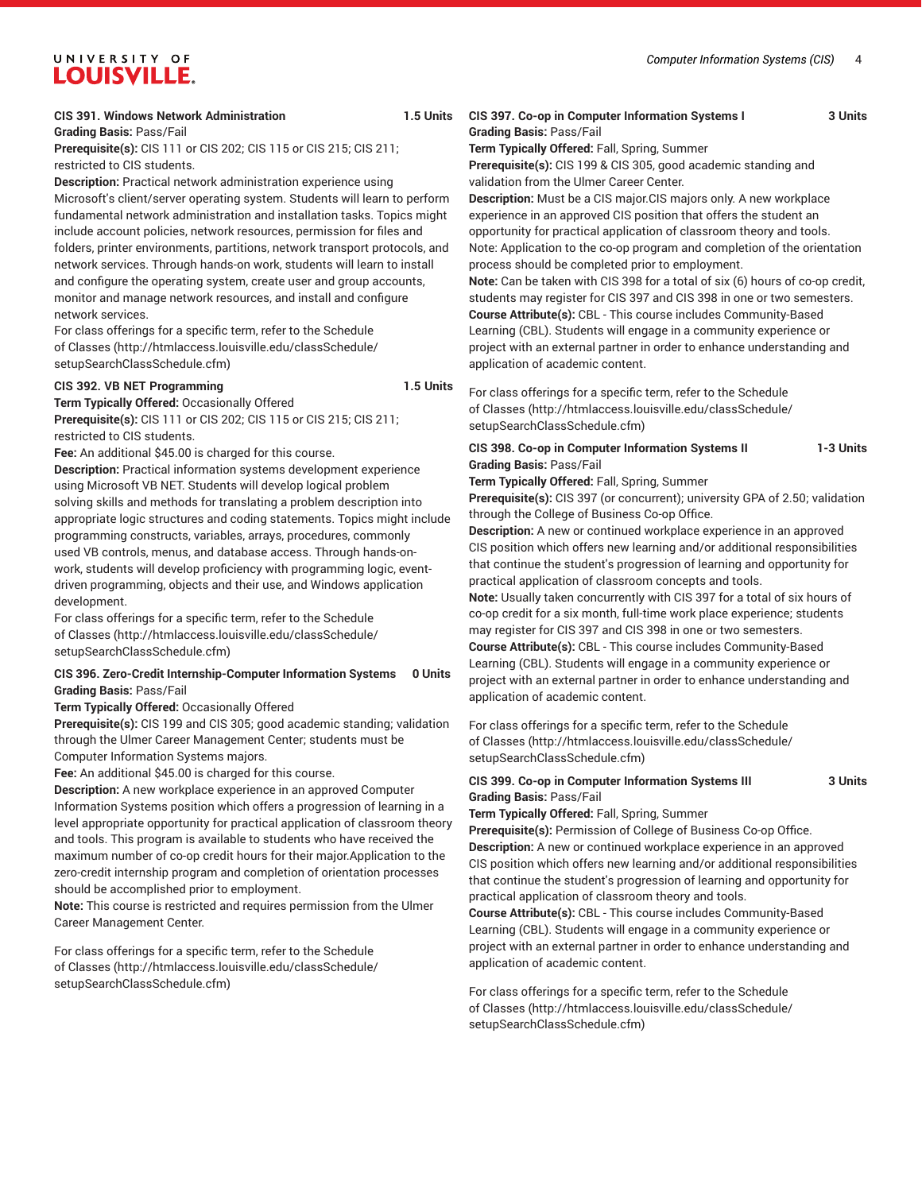#### **CIS 391. Windows Network Administration 1.5 Units**

**Grading Basis:** Pass/Fail

**Prerequisite(s):** CIS 111 or CIS 202; CIS 115 or CIS 215; CIS 211; restricted to CIS students.

**Description:** Practical network administration experience using Microsoft's client/server operating system. Students will learn to perform fundamental network administration and installation tasks. Topics might include account policies, network resources, permission for files and folders, printer environments, partitions, network transport protocols, and network services. Through hands-on work, students will learn to install and configure the operating system, create user and group accounts, monitor and manage network resources, and install and configure network services.

For class offerings for a specific term, refer to the [Schedule](http://htmlaccess.louisville.edu/classSchedule/setupSearchClassSchedule.cfm) [of Classes \(http://htmlaccess.louisville.edu/classSchedule/](http://htmlaccess.louisville.edu/classSchedule/setupSearchClassSchedule.cfm) [setupSearchClassSchedule.cfm\)](http://htmlaccess.louisville.edu/classSchedule/setupSearchClassSchedule.cfm)

#### **CIS 392. VB NET Programming 1.5 Units**

**Term Typically Offered:** Occasionally Offered

**Prerequisite(s):** CIS 111 or CIS 202; CIS 115 or CIS 215; CIS 211; restricted to CIS students.

**Fee:** An additional \$45.00 is charged for this course.

**Description:** Practical information systems development experience using Microsoft VB NET. Students will develop logical problem solving skills and methods for translating a problem description into appropriate logic structures and coding statements. Topics might include programming constructs, variables, arrays, procedures, commonly used VB controls, menus, and database access. Through hands-onwork, students will develop proficiency with programming logic, eventdriven programming, objects and their use, and Windows application development.

For class offerings for a specific term, refer to the [Schedule](http://htmlaccess.louisville.edu/classSchedule/setupSearchClassSchedule.cfm) [of Classes \(http://htmlaccess.louisville.edu/classSchedule/](http://htmlaccess.louisville.edu/classSchedule/setupSearchClassSchedule.cfm) [setupSearchClassSchedule.cfm\)](http://htmlaccess.louisville.edu/classSchedule/setupSearchClassSchedule.cfm)

#### **CIS 396. Zero-Credit Internship-Computer Information Systems 0 Units Grading Basis:** Pass/Fail

**Term Typically Offered:** Occasionally Offered

**Prerequisite(s):** CIS 199 and CIS 305; good academic standing; validation through the Ulmer Career Management Center; students must be Computer Information Systems majors.

**Fee:** An additional \$45.00 is charged for this course.

**Description:** A new workplace experience in an approved Computer Information Systems position which offers a progression of learning in a level appropriate opportunity for practical application of classroom theory and tools. This program is available to students who have received the maximum number of co-op credit hours for their major.Application to the zero-credit internship program and completion of orientation processes should be accomplished prior to employment.

**Note:** This course is restricted and requires permission from the Ulmer Career Management Center.

For class offerings for a specific term, refer to the [Schedule](http://htmlaccess.louisville.edu/classSchedule/setupSearchClassSchedule.cfm) [of Classes \(http://htmlaccess.louisville.edu/classSchedule/](http://htmlaccess.louisville.edu/classSchedule/setupSearchClassSchedule.cfm) [setupSearchClassSchedule.cfm\)](http://htmlaccess.louisville.edu/classSchedule/setupSearchClassSchedule.cfm)

#### **CIS 397. Co-op in Computer Information Systems I 3 Units Grading Basis:** Pass/Fail **Term Typically Offered:** Fall, Spring, Summer

**Prerequisite(s):** CIS 199 & CIS 305, good academic standing and validation from the Ulmer Career Center.

**Description:** Must be a CIS major.CIS majors only. A new workplace experience in an approved CIS position that offers the student an opportunity for practical application of classroom theory and tools. Note: Application to the co-op program and completion of the orientation process should be completed prior to employment.

**Note:** Can be taken with CIS 398 for a total of six (6) hours of co-op credit, students may register for CIS 397 and CIS 398 in one or two semesters. **Course Attribute(s):** CBL - This course includes Community-Based Learning (CBL). Students will engage in a community experience or project with an external partner in order to enhance understanding and application of academic content.

For class offerings for a specific term, refer to the [Schedule](http://htmlaccess.louisville.edu/classSchedule/setupSearchClassSchedule.cfm) [of Classes](http://htmlaccess.louisville.edu/classSchedule/setupSearchClassSchedule.cfm) ([http://htmlaccess.louisville.edu/classSchedule/](http://htmlaccess.louisville.edu/classSchedule/setupSearchClassSchedule.cfm) [setupSearchClassSchedule.cfm\)](http://htmlaccess.louisville.edu/classSchedule/setupSearchClassSchedule.cfm)

**CIS 398. Co-op in Computer Information Systems II 1-3 Units Grading Basis:** Pass/Fail

**Term Typically Offered:** Fall, Spring, Summer

**Prerequisite(s):** CIS 397 (or concurrent); university GPA of 2.50; validation through the College of Business Co-op Office.

**Description:** A new or continued workplace experience in an approved CIS position which offers new learning and/or additional responsibilities that continue the student's progression of learning and opportunity for practical application of classroom concepts and tools. **Note:** Usually taken concurrently with CIS 397 for a total of six hours of co-op credit for a six month, full-time work place experience; students may register for CIS 397 and CIS 398 in one or two semesters. **Course Attribute(s):** CBL - This course includes Community-Based Learning (CBL). Students will engage in a community experience or project with an external partner in order to enhance understanding and application of academic content.

For class offerings for a specific term, refer to the [Schedule](http://htmlaccess.louisville.edu/classSchedule/setupSearchClassSchedule.cfm) [of Classes](http://htmlaccess.louisville.edu/classSchedule/setupSearchClassSchedule.cfm) ([http://htmlaccess.louisville.edu/classSchedule/](http://htmlaccess.louisville.edu/classSchedule/setupSearchClassSchedule.cfm) [setupSearchClassSchedule.cfm\)](http://htmlaccess.louisville.edu/classSchedule/setupSearchClassSchedule.cfm)

#### **CIS 399. Co-op in Computer Information Systems III 3 Units Grading Basis:** Pass/Fail

**Term Typically Offered:** Fall, Spring, Summer

**Prerequisite(s):** Permission of College of Business Co-op Office. **Description:** A new or continued workplace experience in an approved CIS position which offers new learning and/or additional responsibilities that continue the student's progression of learning and opportunity for practical application of classroom theory and tools.

**Course Attribute(s):** CBL - This course includes Community-Based Learning (CBL). Students will engage in a community experience or project with an external partner in order to enhance understanding and application of academic content.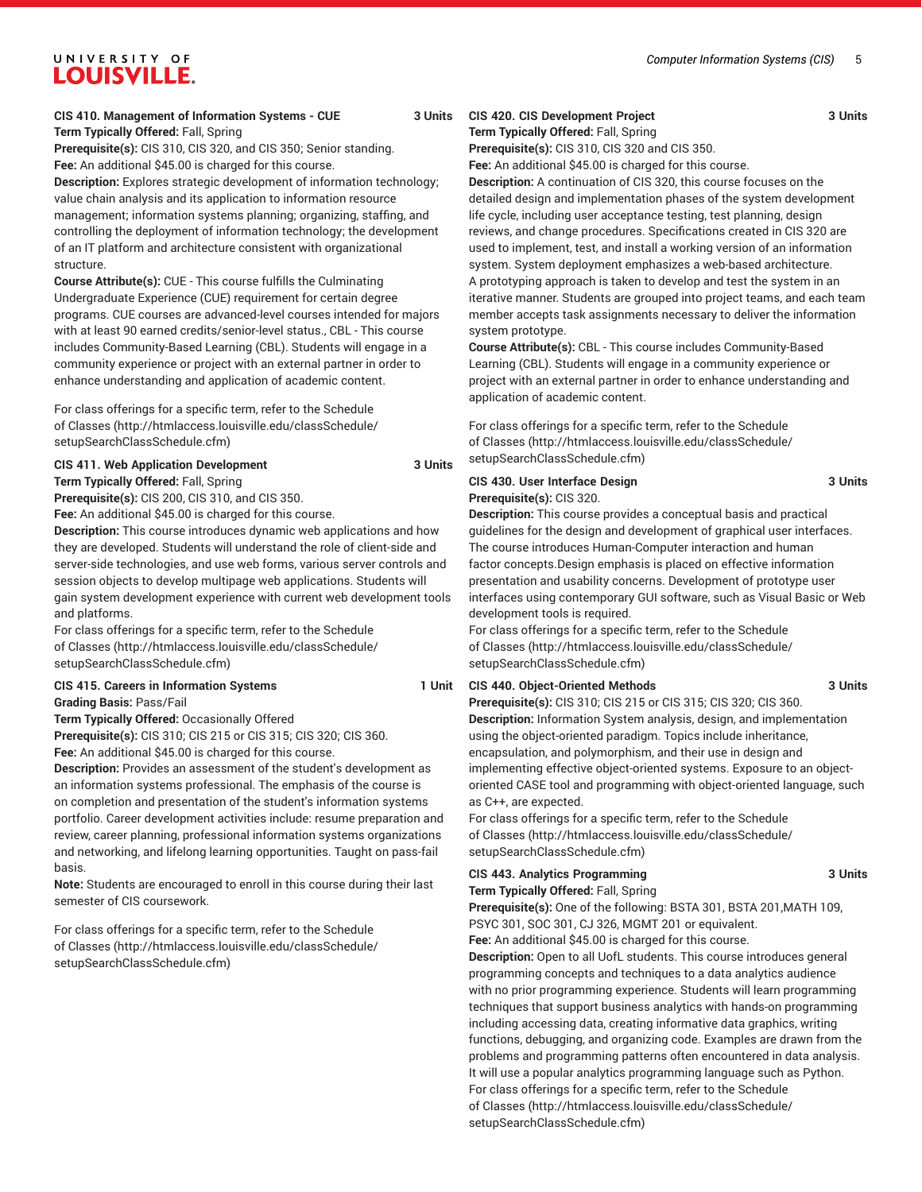# **CIS 410. Management of Information Systems - CUE 3 Units Term Typically Offered:** Fall, Spring

UNIVERSITY OF LOUISVILLE.

**Prerequisite(s):** CIS 310, CIS 320, and CIS 350; Senior standing. **Fee:** An additional \$45.00 is charged for this course.

**Description:** Explores strategic development of information technology; value chain analysis and its application to information resource management; information systems planning; organizing, staffing, and controlling the deployment of information technology; the development of an IT platform and architecture consistent with organizational structure.

**Course Attribute(s):** CUE - This course fulfills the Culminating Undergraduate Experience (CUE) requirement for certain degree programs. CUE courses are advanced-level courses intended for majors with at least 90 earned credits/senior-level status., CBL - This course includes Community-Based Learning (CBL). Students will engage in a community experience or project with an external partner in order to enhance understanding and application of academic content.

For class offerings for a specific term, refer to the [Schedule](http://htmlaccess.louisville.edu/classSchedule/setupSearchClassSchedule.cfm) [of Classes \(http://htmlaccess.louisville.edu/classSchedule/](http://htmlaccess.louisville.edu/classSchedule/setupSearchClassSchedule.cfm) [setupSearchClassSchedule.cfm\)](http://htmlaccess.louisville.edu/classSchedule/setupSearchClassSchedule.cfm)

#### **CIS 411. Web Application Development 3 Units**

**Term Typically Offered:** Fall, Spring

**Prerequisite(s):** CIS 200, CIS 310, and CIS 350.

**Fee:** An additional \$45.00 is charged for this course.

**Description:** This course introduces dynamic web applications and how they are developed. Students will understand the role of client-side and server-side technologies, and use web forms, various server controls and session objects to develop multipage web applications. Students will gain system development experience with current web development tools and platforms.

For class offerings for a specific term, refer to the [Schedule](http://htmlaccess.louisville.edu/classSchedule/setupSearchClassSchedule.cfm) [of Classes \(http://htmlaccess.louisville.edu/classSchedule/](http://htmlaccess.louisville.edu/classSchedule/setupSearchClassSchedule.cfm) [setupSearchClassSchedule.cfm\)](http://htmlaccess.louisville.edu/classSchedule/setupSearchClassSchedule.cfm)

**CIS 415. Careers in Information Systems 1 Unit**

**Grading Basis:** Pass/Fail

**Term Typically Offered:** Occasionally Offered **Prerequisite(s):** CIS 310; CIS 215 or CIS 315; CIS 320; CIS 360. Fee: An additional \$45.00 is charged for this course.

**Description:** Provides an assessment of the student's development as an information systems professional. The emphasis of the course is on completion and presentation of the student's information systems portfolio. Career development activities include: resume preparation and review, career planning, professional information systems organizations and networking, and lifelong learning opportunities. Taught on pass-fail basis.

**Note:** Students are encouraged to enroll in this course during their last semester of CIS coursework.

For class offerings for a specific term, refer to the [Schedule](http://htmlaccess.louisville.edu/classSchedule/setupSearchClassSchedule.cfm) [of Classes \(http://htmlaccess.louisville.edu/classSchedule/](http://htmlaccess.louisville.edu/classSchedule/setupSearchClassSchedule.cfm) [setupSearchClassSchedule.cfm\)](http://htmlaccess.louisville.edu/classSchedule/setupSearchClassSchedule.cfm)

### **CIS 420. CIS Development Project 3 Units**

**Term Typically Offered:** Fall, Spring **Prerequisite(s):** CIS 310, CIS 320 and CIS 350.

**Fee:** An additional \$45.00 is charged for this course.

**Description:** A continuation of CIS 320, this course focuses on the detailed design and implementation phases of the system development life cycle, including user acceptance testing, test planning, design reviews, and change procedures. Specifications created in CIS 320 are used to implement, test, and install a working version of an information system. System deployment emphasizes a web-based architecture. A prototyping approach is taken to develop and test the system in an iterative manner. Students are grouped into project teams, and each team member accepts task assignments necessary to deliver the information system prototype.

**Course Attribute(s):** CBL - This course includes Community-Based Learning (CBL). Students will engage in a community experience or project with an external partner in order to enhance understanding and application of academic content.

For class offerings for a specific term, refer to the [Schedule](http://htmlaccess.louisville.edu/classSchedule/setupSearchClassSchedule.cfm) [of Classes](http://htmlaccess.louisville.edu/classSchedule/setupSearchClassSchedule.cfm) ([http://htmlaccess.louisville.edu/classSchedule/](http://htmlaccess.louisville.edu/classSchedule/setupSearchClassSchedule.cfm) [setupSearchClassSchedule.cfm\)](http://htmlaccess.louisville.edu/classSchedule/setupSearchClassSchedule.cfm)

#### **CIS 430. User Interface Design 3 Units Prerequisite(s):** CIS 320.

**Description:** This course provides a conceptual basis and practical guidelines for the design and development of graphical user interfaces. The course introduces Human-Computer interaction and human factor concepts.Design emphasis is placed on effective information presentation and usability concerns. Development of prototype user interfaces using contemporary GUI software, such as Visual Basic or Web development tools is required.

For class offerings for a specific term, refer to the [Schedule](http://htmlaccess.louisville.edu/classSchedule/setupSearchClassSchedule.cfm) [of Classes](http://htmlaccess.louisville.edu/classSchedule/setupSearchClassSchedule.cfm) ([http://htmlaccess.louisville.edu/classSchedule/](http://htmlaccess.louisville.edu/classSchedule/setupSearchClassSchedule.cfm) [setupSearchClassSchedule.cfm\)](http://htmlaccess.louisville.edu/classSchedule/setupSearchClassSchedule.cfm)

#### **CIS 440. Object-Oriented Methods 3 Units**

**Prerequisite(s):** CIS 310; CIS 215 or CIS 315; CIS 320; CIS 360. **Description:** Information System analysis, design, and implementation using the object-oriented paradigm. Topics include inheritance, encapsulation, and polymorphism, and their use in design and implementing effective object-oriented systems. Exposure to an objectoriented CASE tool and programming with object-oriented language, such as C++, are expected.

For class offerings for a specific term, refer to the [Schedule](http://htmlaccess.louisville.edu/classSchedule/setupSearchClassSchedule.cfm) [of Classes](http://htmlaccess.louisville.edu/classSchedule/setupSearchClassSchedule.cfm) ([http://htmlaccess.louisville.edu/classSchedule/](http://htmlaccess.louisville.edu/classSchedule/setupSearchClassSchedule.cfm) [setupSearchClassSchedule.cfm\)](http://htmlaccess.louisville.edu/classSchedule/setupSearchClassSchedule.cfm)

#### **CIS 443. Analytics Programming 3 Units Term Typically Offered:** Fall, Spring

**Prerequisite(s):** One of the following: BSTA 301, BSTA 201,MATH 109, PSYC 301, SOC 301, CJ 326, MGMT 201 or equivalent.

**Fee:** An additional \$45.00 is charged for this course.

**Description:** Open to all UofL students. This course introduces general programming concepts and techniques to a data analytics audience with no prior programming experience. Students will learn programming techniques that support business analytics with hands-on programming including accessing data, creating informative data graphics, writing functions, debugging, and organizing code. Examples are drawn from the problems and programming patterns often encountered in data analysis. It will use a popular analytics programming language such as Python. For class offerings for a specific term, refer to the [Schedule](http://htmlaccess.louisville.edu/classSchedule/setupSearchClassSchedule.cfm) [of Classes](http://htmlaccess.louisville.edu/classSchedule/setupSearchClassSchedule.cfm) ([http://htmlaccess.louisville.edu/classSchedule/](http://htmlaccess.louisville.edu/classSchedule/setupSearchClassSchedule.cfm) [setupSearchClassSchedule.cfm\)](http://htmlaccess.louisville.edu/classSchedule/setupSearchClassSchedule.cfm)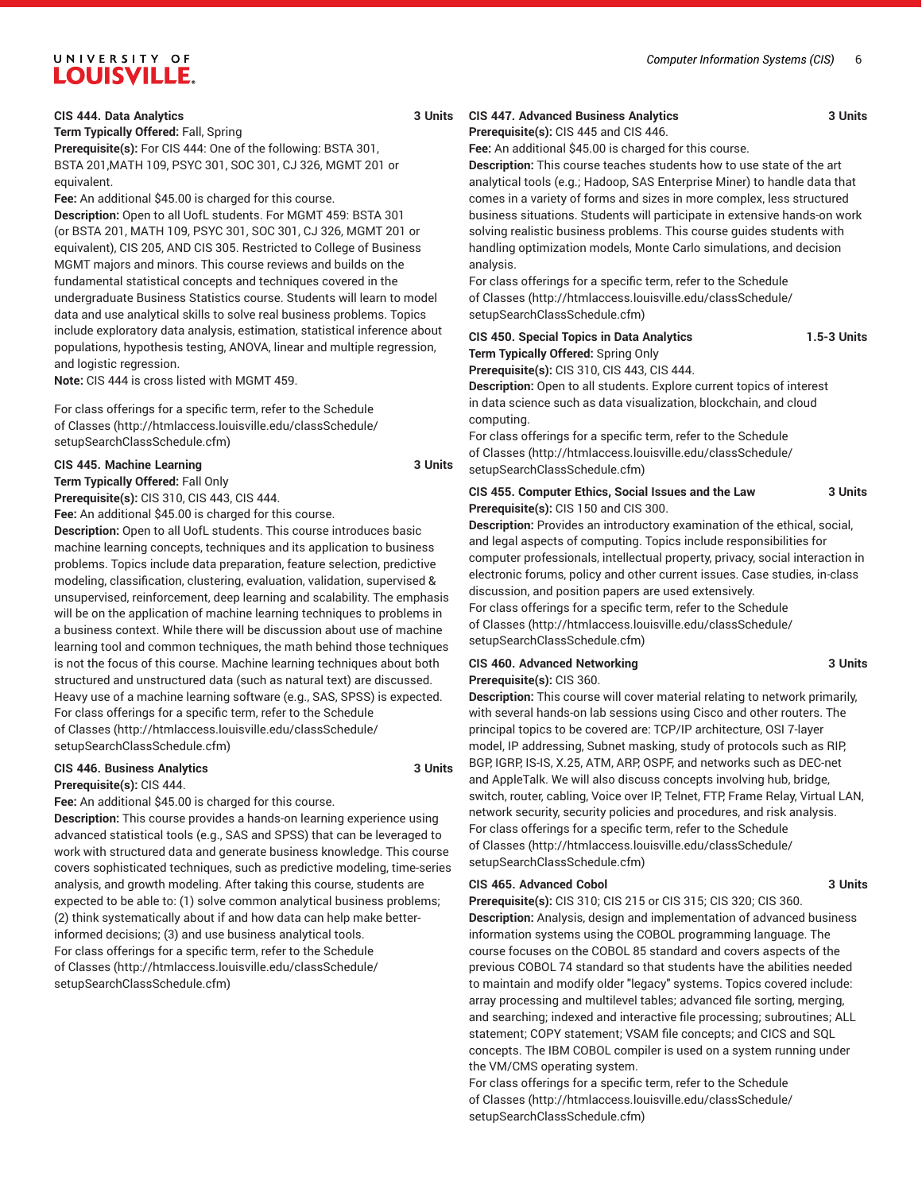**CIS 444. Data Analytics 3 Units**

**Term Typically Offered:** Fall, Spring

**Prerequisite(s):** For CIS 444: One of the following: BSTA 301, BSTA 201,MATH 109, PSYC 301, SOC 301, CJ 326, MGMT 201 or equivalent.

**Fee:** An additional \$45.00 is charged for this course.

**Description:** Open to all UofL students. For MGMT 459: BSTA 301 (or BSTA 201, MATH 109, PSYC 301, SOC 301, CJ 326, MGMT 201 or equivalent), CIS 205, AND CIS 305. Restricted to College of Business MGMT majors and minors. This course reviews and builds on the fundamental statistical concepts and techniques covered in the undergraduate Business Statistics course. Students will learn to model data and use analytical skills to solve real business problems. Topics include exploratory data analysis, estimation, statistical inference about populations, hypothesis testing, ANOVA, linear and multiple regression, and logistic regression.

**Note:** CIS 444 is cross listed with MGMT 459.

For class offerings for a specific term, refer to the [Schedule](http://htmlaccess.louisville.edu/classSchedule/setupSearchClassSchedule.cfm) [of Classes \(http://htmlaccess.louisville.edu/classSchedule/](http://htmlaccess.louisville.edu/classSchedule/setupSearchClassSchedule.cfm) [setupSearchClassSchedule.cfm\)](http://htmlaccess.louisville.edu/classSchedule/setupSearchClassSchedule.cfm)

#### **CIS 445. Machine Learning 3 Units**

**Term Typically Offered:** Fall Only

**Prerequisite(s):** CIS 310, CIS 443, CIS 444.

**Fee:** An additional \$45.00 is charged for this course.

**Description:** Open to all UofL students. This course introduces basic machine learning concepts, techniques and its application to business problems. Topics include data preparation, feature selection, predictive modeling, classification, clustering, evaluation, validation, supervised & unsupervised, reinforcement, deep learning and scalability. The emphasis will be on the application of machine learning techniques to problems in a business context. While there will be discussion about use of machine learning tool and common techniques, the math behind those techniques is not the focus of this course. Machine learning techniques about both structured and unstructured data (such as natural text) are discussed. Heavy use of a machine learning software (e.g., SAS, SPSS) is expected. For class offerings for a specific term, refer to the [Schedule](http://htmlaccess.louisville.edu/classSchedule/setupSearchClassSchedule.cfm) [of Classes \(http://htmlaccess.louisville.edu/classSchedule/](http://htmlaccess.louisville.edu/classSchedule/setupSearchClassSchedule.cfm) [setupSearchClassSchedule.cfm\)](http://htmlaccess.louisville.edu/classSchedule/setupSearchClassSchedule.cfm)

#### **CIS 446. Business Analytics 3 Units**

**Prerequisite(s):** CIS 444.

**Fee:** An additional \$45.00 is charged for this course.

**Description:** This course provides a hands-on learning experience using advanced statistical tools (e.g., SAS and SPSS) that can be leveraged to work with structured data and generate business knowledge. This course covers sophisticated techniques, such as predictive modeling, time-series analysis, and growth modeling. After taking this course, students are expected to be able to: (1) solve common analytical business problems; (2) think systematically about if and how data can help make betterinformed decisions; (3) and use business analytical tools. For class offerings for a specific term, refer to the [Schedule](http://htmlaccess.louisville.edu/classSchedule/setupSearchClassSchedule.cfm) [of Classes \(http://htmlaccess.louisville.edu/classSchedule/](http://htmlaccess.louisville.edu/classSchedule/setupSearchClassSchedule.cfm) [setupSearchClassSchedule.cfm\)](http://htmlaccess.louisville.edu/classSchedule/setupSearchClassSchedule.cfm)

#### **CIS 447. Advanced Business Analytics 3 Units Prerequisite(s):** CIS 445 and CIS 446.

**Fee:** An additional \$45.00 is charged for this course.

**Description:** This course teaches students how to use state of the art analytical tools (e.g.; Hadoop, SAS Enterprise Miner) to handle data that comes in a variety of forms and sizes in more complex, less structured business situations. Students will participate in extensive hands-on work solving realistic business problems. This course guides students with handling optimization models, Monte Carlo simulations, and decision analysis.

For class offerings for a specific term, refer to the [Schedule](http://htmlaccess.louisville.edu/classSchedule/setupSearchClassSchedule.cfm) [of Classes](http://htmlaccess.louisville.edu/classSchedule/setupSearchClassSchedule.cfm) ([http://htmlaccess.louisville.edu/classSchedule/](http://htmlaccess.louisville.edu/classSchedule/setupSearchClassSchedule.cfm) [setupSearchClassSchedule.cfm\)](http://htmlaccess.louisville.edu/classSchedule/setupSearchClassSchedule.cfm)

| CIS 450. Special Topics in Data Analytics                                   | <b>1.5-3 Units</b> |
|-----------------------------------------------------------------------------|--------------------|
| <b>Term Typically Offered:</b> Spring Only                                  |                    |
| <b>Prerequisite(s): CIS 310, CIS 443, CIS 444.</b>                          |                    |
| <b>Deparintion:</b> Open to all otudente Evalere ourrent tening of interest |                    |

**n:** Open to all students. Explore current topics of interest in data science such as data visualization, blockchain, and cloud computing.

For class offerings for a specific term, refer to the [Schedule](http://htmlaccess.louisville.edu/classSchedule/setupSearchClassSchedule.cfm) [of Classes](http://htmlaccess.louisville.edu/classSchedule/setupSearchClassSchedule.cfm) ([http://htmlaccess.louisville.edu/classSchedule/](http://htmlaccess.louisville.edu/classSchedule/setupSearchClassSchedule.cfm) [setupSearchClassSchedule.cfm\)](http://htmlaccess.louisville.edu/classSchedule/setupSearchClassSchedule.cfm)

#### **CIS 455. Computer Ethics, Social Issues and the Law 3 Units Prerequisite(s):** CIS 150 and CIS 300.

**Description:** Provides an introductory examination of the ethical, social, and legal aspects of computing. Topics include responsibilities for computer professionals, intellectual property, privacy, social interaction in electronic forums, policy and other current issues. Case studies, in-class discussion, and position papers are used extensively. For class offerings for a specific term, refer to the [Schedule](http://htmlaccess.louisville.edu/classSchedule/setupSearchClassSchedule.cfm) [of Classes](http://htmlaccess.louisville.edu/classSchedule/setupSearchClassSchedule.cfm) ([http://htmlaccess.louisville.edu/classSchedule/](http://htmlaccess.louisville.edu/classSchedule/setupSearchClassSchedule.cfm) [setupSearchClassSchedule.cfm\)](http://htmlaccess.louisville.edu/classSchedule/setupSearchClassSchedule.cfm)

#### **CIS 460. Advanced Networking 3 Units Prerequisite(s):** CIS 360.

**Description:** This course will cover material relating to network primarily, with several hands-on lab sessions using Cisco and other routers. The principal topics to be covered are: TCP/IP architecture, OSI 7-layer model, IP addressing, Subnet masking, study of protocols such as RIP, BGP, IGRP, IS-IS, X.25, ATM, ARP, OSPF, and networks such as DEC-net and AppleTalk. We will also discuss concepts involving hub, bridge, switch, router, cabling, Voice over IP, Telnet, FTP, Frame Relay, Virtual LAN, network security, security policies and procedures, and risk analysis. For class offerings for a specific term, refer to the [Schedule](http://htmlaccess.louisville.edu/classSchedule/setupSearchClassSchedule.cfm) [of Classes](http://htmlaccess.louisville.edu/classSchedule/setupSearchClassSchedule.cfm) ([http://htmlaccess.louisville.edu/classSchedule/](http://htmlaccess.louisville.edu/classSchedule/setupSearchClassSchedule.cfm) [setupSearchClassSchedule.cfm\)](http://htmlaccess.louisville.edu/classSchedule/setupSearchClassSchedule.cfm)

#### **CIS 465. Advanced Cobol 3 Units**

**Prerequisite(s):** CIS 310; CIS 215 or CIS 315; CIS 320; CIS 360. **Description:** Analysis, design and implementation of advanced business information systems using the COBOL programming language. The course focuses on the COBOL 85 standard and covers aspects of the previous COBOL 74 standard so that students have the abilities needed to maintain and modify older "legacy" systems. Topics covered include: array processing and multilevel tables; advanced file sorting, merging, and searching; indexed and interactive file processing; subroutines; ALL statement; COPY statement; VSAM file concepts; and CICS and SQL concepts. The IBM COBOL compiler is used on a system running under the VM/CMS operating system.